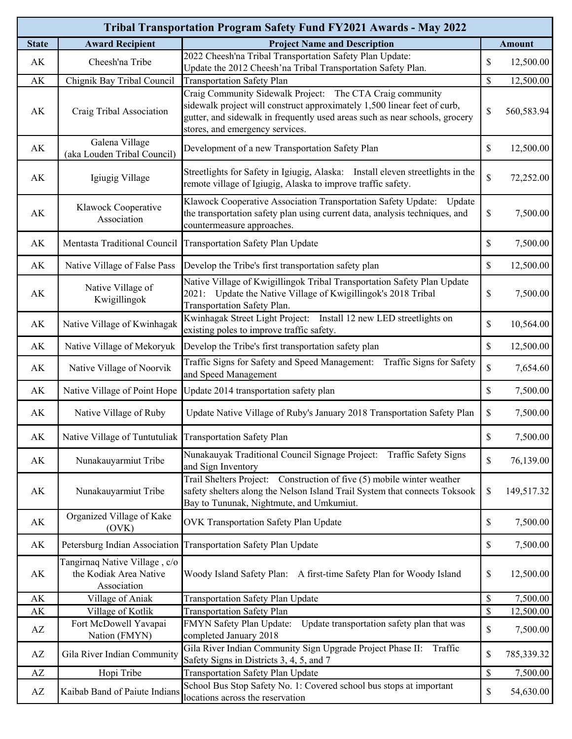| Tribal Transportation Program Safety Fund FY2021 Awards - May 2022 |                                                                        |                                                                                                                                                                                                                                                         |               |               |  |  |  |
|--------------------------------------------------------------------|------------------------------------------------------------------------|---------------------------------------------------------------------------------------------------------------------------------------------------------------------------------------------------------------------------------------------------------|---------------|---------------|--|--|--|
| <b>State</b>                                                       | <b>Award Recipient</b>                                                 | <b>Project Name and Description</b>                                                                                                                                                                                                                     |               | <b>Amount</b> |  |  |  |
| AK                                                                 | Cheesh'na Tribe                                                        | 2022 Cheesh'na Tribal Transportation Safety Plan Update:<br>Update the 2012 Cheesh'na Tribal Transportation Safety Plan.                                                                                                                                | \$            | 12,500.00     |  |  |  |
| AK                                                                 | Chignik Bay Tribal Council                                             | <b>Transportation Safety Plan</b>                                                                                                                                                                                                                       | $\mathcal{S}$ | 12,500.00     |  |  |  |
| AK                                                                 | Craig Tribal Association                                               | Craig Community Sidewalk Project: The CTA Craig community<br>sidewalk project will construct approximately 1,500 linear feet of curb,<br>gutter, and sidewalk in frequently used areas such as near schools, grocery<br>stores, and emergency services. | $\mathbb{S}$  | 560,583.94    |  |  |  |
| AK                                                                 | Galena Village<br>(aka Louden Tribal Council)                          | Development of a new Transportation Safety Plan                                                                                                                                                                                                         | \$            | 12,500.00     |  |  |  |
| AK                                                                 | Igiugig Village                                                        | Streetlights for Safety in Igiugig, Alaska: Install eleven streetlights in the<br>remote village of Igiugig, Alaska to improve traffic safety.                                                                                                          | $\mathbb{S}$  | 72,252.00     |  |  |  |
| AK                                                                 | Klawock Cooperative<br>Association                                     | Klawock Cooperative Association Transportation Safety Update:<br>Update<br>the transportation safety plan using current data, analysis techniques, and<br>countermeasure approaches.                                                                    | \$            | 7,500.00      |  |  |  |
| AK                                                                 | Mentasta Traditional Council                                           | Transportation Safety Plan Update                                                                                                                                                                                                                       | \$            | 7,500.00      |  |  |  |
| AK                                                                 | Native Village of False Pass                                           | Develop the Tribe's first transportation safety plan                                                                                                                                                                                                    | $\$$          | 12,500.00     |  |  |  |
| AK                                                                 | Native Village of<br>Kwigillingok                                      | Native Village of Kwigillingok Tribal Transportation Safety Plan Update<br>2021: Update the Native Village of Kwigillingok's 2018 Tribal<br>Transportation Safety Plan.                                                                                 | $\$$          | 7,500.00      |  |  |  |
| AK                                                                 | Native Village of Kwinhagak                                            | Kwinhagak Street Light Project: Install 12 new LED streetlights on<br>existing poles to improve traffic safety.                                                                                                                                         | $\mathbb{S}$  | 10,564.00     |  |  |  |
| AK                                                                 | Native Village of Mekoryuk                                             | Develop the Tribe's first transportation safety plan                                                                                                                                                                                                    | $\mathbb{S}$  | 12,500.00     |  |  |  |
| AK                                                                 | Native Village of Noorvik                                              | Traffic Signs for Safety and Speed Management: Traffic Signs for Safety<br>and Speed Management                                                                                                                                                         | \$            | 7,654.60      |  |  |  |
| AK                                                                 | Native Village of Point Hope                                           | Update 2014 transportation safety plan                                                                                                                                                                                                                  | \$            | 7,500.00      |  |  |  |
| AK                                                                 | Native Village of Ruby                                                 | Update Native Village of Ruby's January 2018 Transportation Safety Plan                                                                                                                                                                                 | \$            | 7,500.00      |  |  |  |
| AK                                                                 | Native Village of Tuntutuliak Transportation Safety Plan               |                                                                                                                                                                                                                                                         | $\mathcal{S}$ | 7,500.00      |  |  |  |
| AK                                                                 | Nunakauyarmiut Tribe                                                   | Nunakauyak Traditional Council Signage Project: Traffic Safety Signs<br>and Sign Inventory                                                                                                                                                              | \$            | 76,139.00     |  |  |  |
| AK                                                                 | Nunakauyarmiut Tribe                                                   | Trail Shelters Project: Construction of five (5) mobile winter weather<br>safety shelters along the Nelson Island Trail System that connects Toksook<br>Bay to Tununak, Nightmute, and Umkumiut.                                                        | \$            | 149,517.32    |  |  |  |
| AK                                                                 | Organized Village of Kake<br>(OVK)                                     | OVK Transportation Safety Plan Update                                                                                                                                                                                                                   | \$            | 7,500.00      |  |  |  |
| AK                                                                 |                                                                        | Petersburg Indian Association Transportation Safety Plan Update                                                                                                                                                                                         | $\mathbb{S}$  | 7,500.00      |  |  |  |
| AK                                                                 | Tangirnaq Native Village, c/o<br>the Kodiak Area Native<br>Association | Woody Island Safety Plan: A first-time Safety Plan for Woody Island                                                                                                                                                                                     | \$            | 12,500.00     |  |  |  |
| AK                                                                 | Village of Aniak                                                       | <b>Transportation Safety Plan Update</b>                                                                                                                                                                                                                | $\$$          | 7,500.00      |  |  |  |
| $\mathbf{A}\mathbf{K}$                                             | Village of Kotlik                                                      | <b>Transportation Safety Plan</b>                                                                                                                                                                                                                       | \$            | 12,500.00     |  |  |  |
| AZ                                                                 | Fort McDowell Yavapai<br>Nation (FMYN)                                 | FMYN Safety Plan Update:<br>Update transportation safety plan that was<br>completed January 2018                                                                                                                                                        | \$            | 7,500.00      |  |  |  |
| AZ                                                                 | Gila River Indian Community                                            | Gila River Indian Community Sign Upgrade Project Phase II:<br>Traffic<br>Safety Signs in Districts 3, 4, 5, and 7                                                                                                                                       | \$            | 785,339.32    |  |  |  |
| $\mathbf{A}\mathbf{Z}$                                             | Hopi Tribe                                                             | Transportation Safety Plan Update                                                                                                                                                                                                                       | \$            | 7,500.00      |  |  |  |
| AZ                                                                 | Kaibab Band of Paiute Indians                                          | School Bus Stop Safety No. 1: Covered school bus stops at important<br>locations across the reservation                                                                                                                                                 | \$            | 54,630.00     |  |  |  |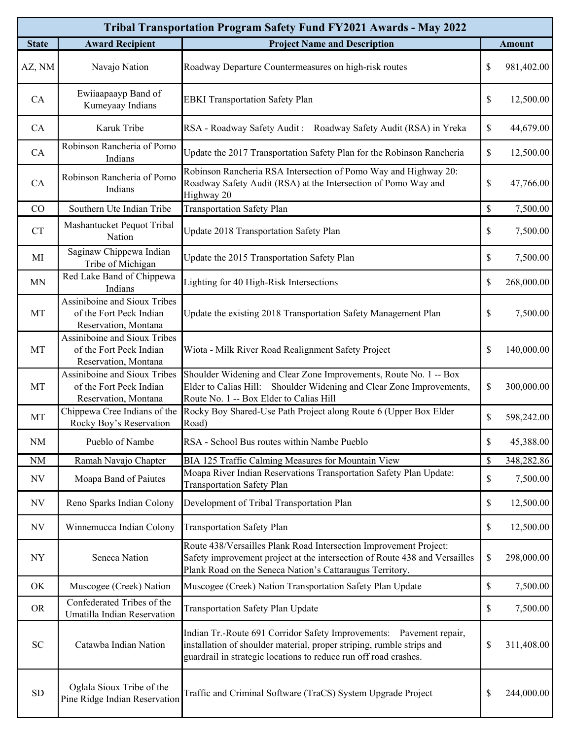| Tribal Transportation Program Safety Fund FY2021 Awards - May 2022 |                                                                                 |                                                                                                                                                                                                                  |               |               |  |  |  |  |
|--------------------------------------------------------------------|---------------------------------------------------------------------------------|------------------------------------------------------------------------------------------------------------------------------------------------------------------------------------------------------------------|---------------|---------------|--|--|--|--|
| <b>State</b>                                                       | <b>Award Recipient</b>                                                          | <b>Project Name and Description</b>                                                                                                                                                                              |               | <b>Amount</b> |  |  |  |  |
| AZ, NM                                                             | Navajo Nation                                                                   | Roadway Departure Countermeasures on high-risk routes                                                                                                                                                            | \$            | 981,402.00    |  |  |  |  |
| CA                                                                 | Ewiiaapaayp Band of<br>Kumeyaay Indians                                         | <b>EBKI</b> Transportation Safety Plan                                                                                                                                                                           | $\$$          | 12,500.00     |  |  |  |  |
| CA                                                                 | Karuk Tribe                                                                     | RSA - Roadway Safety Audit: Roadway Safety Audit (RSA) in Yreka                                                                                                                                                  | $\mathbb{S}$  | 44,679.00     |  |  |  |  |
| CA                                                                 | Robinson Rancheria of Pomo<br>Indians                                           | Update the 2017 Transportation Safety Plan for the Robinson Rancheria                                                                                                                                            | \$            | 12,500.00     |  |  |  |  |
| CA                                                                 | Robinson Rancheria of Pomo<br>Indians                                           | Robinson Rancheria RSA Intersection of Pomo Way and Highway 20:<br>Roadway Safety Audit (RSA) at the Intersection of Pomo Way and<br>Highway 20                                                                  | \$            | 47,766.00     |  |  |  |  |
| CO                                                                 | Southern Ute Indian Tribe                                                       | <b>Transportation Safety Plan</b>                                                                                                                                                                                | $\mathbb{S}$  | 7,500.00      |  |  |  |  |
| CT                                                                 | Mashantucket Pequot Tribal<br>Nation                                            | Update 2018 Transportation Safety Plan                                                                                                                                                                           | \$            | 7,500.00      |  |  |  |  |
| MI                                                                 | Saginaw Chippewa Indian<br>Tribe of Michigan                                    | Update the 2015 Transportation Safety Plan                                                                                                                                                                       | $\mathbb{S}$  | 7,500.00      |  |  |  |  |
| <b>MN</b>                                                          | Red Lake Band of Chippewa<br>Indians                                            | Lighting for 40 High-Risk Intersections                                                                                                                                                                          | \$            | 268,000.00    |  |  |  |  |
| MT                                                                 | Assiniboine and Sioux Tribes<br>of the Fort Peck Indian<br>Reservation, Montana | Update the existing 2018 Transportation Safety Management Plan                                                                                                                                                   | $\mathbb{S}$  | 7,500.00      |  |  |  |  |
| MT                                                                 | Assiniboine and Sioux Tribes<br>of the Fort Peck Indian<br>Reservation, Montana | Wiota - Milk River Road Realignment Safety Project                                                                                                                                                               | $\mathcal{S}$ | 140,000.00    |  |  |  |  |
| MT                                                                 | Assiniboine and Sioux Tribes<br>of the Fort Peck Indian<br>Reservation, Montana | Shoulder Widening and Clear Zone Improvements, Route No. 1 -- Box<br>Elder to Calias Hill: Shoulder Widening and Clear Zone Improvements,<br>Route No. 1 -- Box Elder to Calias Hill                             | \$            | 300,000.00    |  |  |  |  |
| MT                                                                 | Chippewa Cree Indians of the<br>Rocky Boy's Reservation                         | Rocky Boy Shared-Use Path Project along Route 6 (Upper Box Elder<br>Road)                                                                                                                                        | \$            | 598,242.00    |  |  |  |  |
| <b>NM</b>                                                          | Pueblo of Nambe                                                                 | RSA - School Bus routes within Nambe Pueblo                                                                                                                                                                      | \$            | 45,388.00     |  |  |  |  |
| NM                                                                 | Ramah Navajo Chapter                                                            | BIA 125 Traffic Calming Measures for Mountain View                                                                                                                                                               | \$            | 348,282.86    |  |  |  |  |
| <b>NV</b>                                                          | Moapa Band of Paiutes                                                           | Moapa River Indian Reservations Transportation Safety Plan Update:<br><b>Transportation Safety Plan</b>                                                                                                          | \$            | 7,500.00      |  |  |  |  |
| <b>NV</b>                                                          | Reno Sparks Indian Colony                                                       | Development of Tribal Transportation Plan                                                                                                                                                                        | $\$$          | 12,500.00     |  |  |  |  |
| $\ensuremath{\text{NV}}$                                           | Winnemucca Indian Colony                                                        | <b>Transportation Safety Plan</b>                                                                                                                                                                                | \$            | 12,500.00     |  |  |  |  |
| NY                                                                 | Seneca Nation                                                                   | Route 438/Versailles Plank Road Intersection Improvement Project:<br>Safety improvement project at the intersection of Route 438 and Versailles<br>Plank Road on the Seneca Nation's Cattaraugus Territory.      | \$            | 298,000.00    |  |  |  |  |
| OK                                                                 | Muscogee (Creek) Nation                                                         | Muscogee (Creek) Nation Transportation Safety Plan Update                                                                                                                                                        | \$            | 7,500.00      |  |  |  |  |
| <b>OR</b>                                                          | Confederated Tribes of the<br>Umatilla Indian Reservation                       | Transportation Safety Plan Update                                                                                                                                                                                | \$            | 7,500.00      |  |  |  |  |
| SC                                                                 | Catawba Indian Nation                                                           | Indian Tr.-Route 691 Corridor Safety Improvements: Pavement repair,<br>installation of shoulder material, proper striping, rumble strips and<br>guardrail in strategic locations to reduce run off road crashes. | \$            | 311,408.00    |  |  |  |  |
| ${\rm SD}$                                                         | Oglala Sioux Tribe of the<br>Pine Ridge Indian Reservation                      | Traffic and Criminal Software (TraCS) System Upgrade Project                                                                                                                                                     | \$            | 244,000.00    |  |  |  |  |